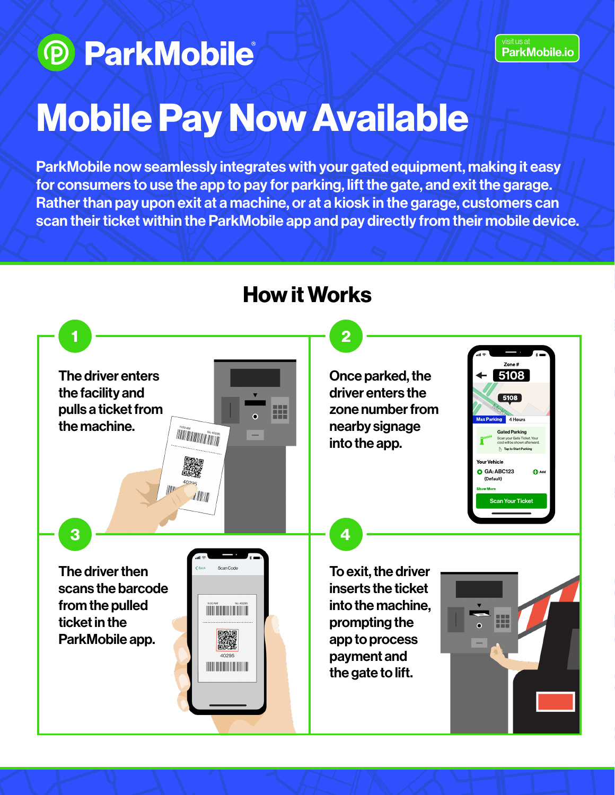# **D ParkMobile**

#### visit us at [ParkMobile.io](https://parkmobile.io)

# Mobile Pay Now Available

ParkMobile now seamlessly integrates with your gated equipment, making it easy for consumers to use the app to pay for parking, lift the gate, and exit the garage. Rather than pay upon exit at a machine, or at a kiosk in the garage, customers can scan their ticket within the ParkMobile app and pay directly from their mobile device.



# How it Works